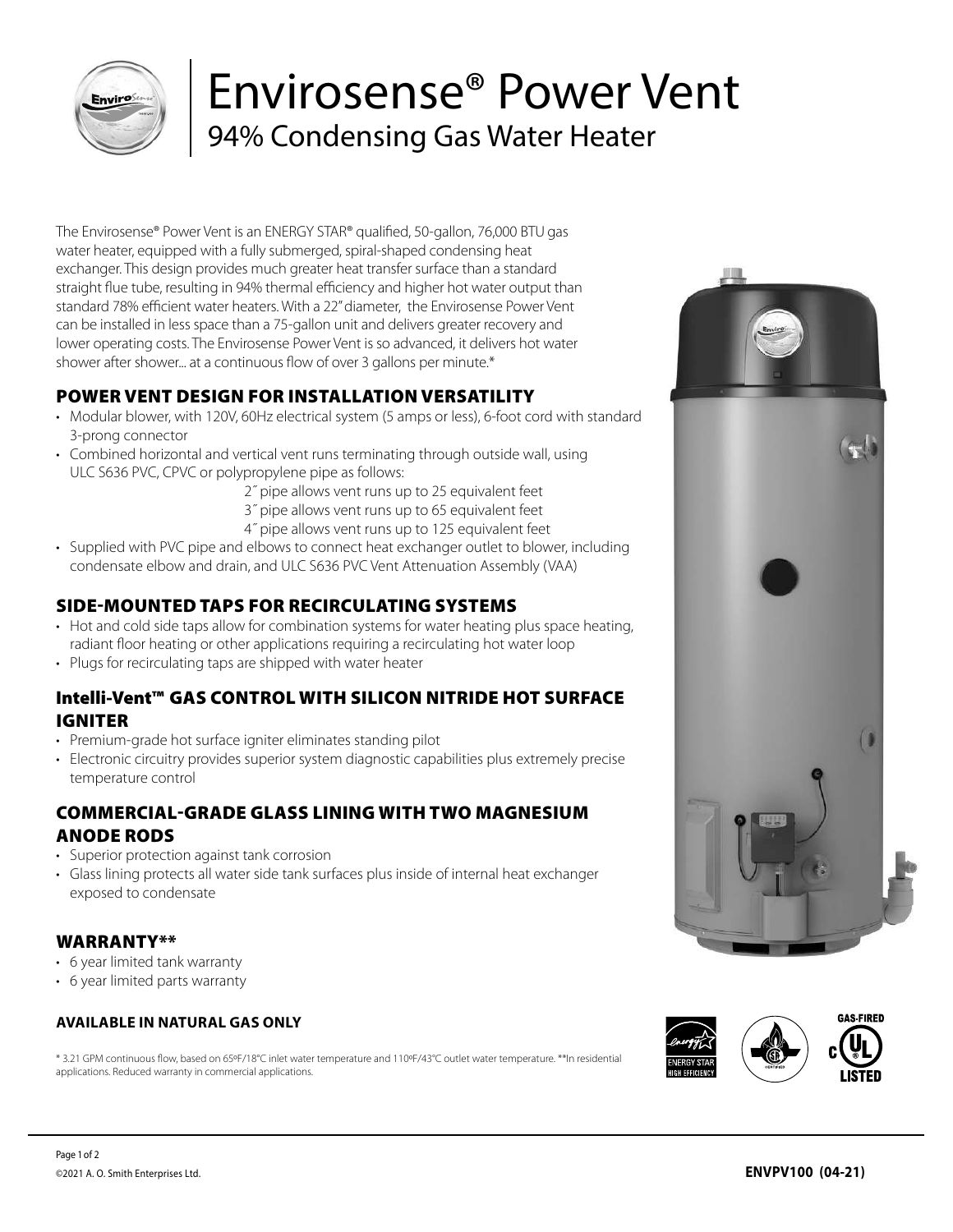

# Envirosense® Power Vent 94% Condensing Gas Water Heater

The Envirosense® Power Vent is an ENERGY STAR® qualified, 50-gallon, 76,000 BTU gas water heater, equipped with a fully submerged, spiral-shaped condensing heat exchanger. This design provides much greater heat transfer surface than a standard straight flue tube, resulting in 94% thermal efficiency and higher hot water output than standard 78% efficient water heaters. With a 22" diameter, the Envirosense Power Vent can be installed in less space than a 75-gallon unit and delivers greater recovery and lower operating costs. The Envirosense Power Vent is so advanced, it delivers hot water shower after shower... at a continuous flow of over 3 gallons per minute.\*

## POWER VENT DESIGN FOR INSTALLATION VERSATILITY

- Modular blower, with 120V, 60Hz electrical system (5 amps or less), 6-foot cord with standard 3-prong connector
- Combined horizontal and vertical vent runs terminating through outside wall, using ULC S636 PVC, CPVC or polypropylene pipe as follows:
	- 2˝ pipe allows vent runs up to 25 equivalent feet
	- 3˝ pipe allows vent runs up to 65 equivalent feet
	- 4˝ pipe allows vent runs up to 125 equivalent feet
- Supplied with PVC pipe and elbows to connect heat exchanger outlet to blower, including condensate elbow and drain, and ULC S636 PVC Vent Attenuation Assembly (VAA)

### SIDE-MOUNTED TAPS FOR RECIRCULATING SYSTEMS

- Hot and cold side taps allow for combination systems for water heating plus space heating, radiant floor heating or other applications requiring a recirculating hot water loop
- Plugs for recirculating taps are shipped with water heater

### Intelli-Vent™ GAS CONTROL WITH SILICON NITRIDE HOT SURFACE IGNITER

- Premium-grade hot surface igniter eliminates standing pilot
- Electronic circuitry provides superior system diagnostic capabilities plus extremely precise temperature control

### COMMERCIAL-GRADE GLASS LINING WITH TWO MAGNESIUM ANODE RODS

- Superior protection against tank corrosion
- Glass lining protects all water side tank surfaces plus inside of internal heat exchanger exposed to condensate

#### WARRANTY\*\*

- 6 year limited tank warranty
- 6 year limited parts warranty

#### **AVAILABLE IN NATURAL GAS ONLY**

\* 3.21 GPM continuous flow, based on 65ºF/18°C inlet water temperature and 110ºF/43°C outlet water temperature. \*\*In residential applications. Reduced warranty in commercial applications.